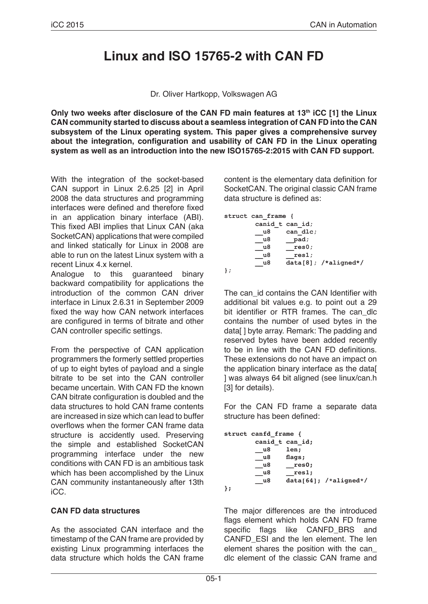# **Linux and ISO 15765-2 with CAN FD**

#### Dr. Oliver Hartkopp, Volkswagen AG

**Only two weeks after disclosure of the CAN FD main features at 13th iCC [1] the Linux CAN community started to discuss about a seamless integration of CAN FD into the CAN subsystem of the Linux operating system. This paper gives a comprehensive survey about the integration, configuration and usability of CAN FD in the Linux operating system as well as an introduction into the new ISO15765-2:2015 with CAN FD support.**

With the integration of the socket-based CAN support in Linux 2.6.25 [2] in April 2008 the data structures and programming interfaces were defined and therefore fixed in an application binary interface (ABI). This fixed ABI implies that Linux CAN (aka SocketCAN) applications that were compiled and linked statically for Linux in 2008 are able to run on the latest Linux system with a recent Linux 4.x kernel.

Analogue to this guaranteed binary backward compatibility for applications the introduction of the common CAN driver interface in Linux 2.6.31 in September 2009 fixed the way how CAN network interfaces are configured in terms of bitrate and other CAN controller specific settings.

From the perspective of CAN application programmers the formerly settled properties of up to eight bytes of payload and a single bitrate to be set into the CAN controller became uncertain. With CAN FD the known CAN bitrate configuration is doubled and the data structures to hold CAN frame contents are increased in size which can lead to buffer overflows when the former CAN frame data structure is accidently used. Preserving the simple and established SocketCAN programming interface under the new conditions with CAN FD is an ambitious task which has been accomplished by the Linux CAN community instantaneously after 13th iCC.

## **CAN FD data structures**

As the associated CAN interface and the timestamp of the CAN frame are provided by existing Linux programming interfaces the data structure which holds the CAN frame content is the elementary data definition for SocketCAN. The original classic CAN frame data structure is defined as:

```
struct can_frame {
           canid_t can_id;<br>u8 can dlc
                       can_dlc;
            __u8 __pad;<br>__u8 ___res0
                        res0;__u8 __res1;<br>__u8 data[81
                        __u8 data[8]; /*aligned*/
};
```
The can\_id contains the CAN Identifier with additional bit values e.g. to point out a 29 bit identifier or RTR frames. The can\_dlc contains the number of used bytes in the data[ ] byte array. Remark: The padding and reserved bytes have been added recently to be in line with the CAN FD definitions. These extensions do not have an impact on the application binary interface as the data[ ] was always 64 bit aligned (see linux/can.h [3] for details).

For the CAN FD frame a separate data structure has been defined:

```
struct canfd_frame {
        canid_t can_id;
          __u8 len;
         __u8 flags;
                \_\_res0;
         __u8 __res1;
         __u8 data[64]; /*aligned*/
};
```
The major differences are the introduced flags element which holds CAN FD frame specific flags like CANFD\_BRS and CANFD\_ESI and the len element. The len element shares the position with the can\_ dlc element of the classic CAN frame and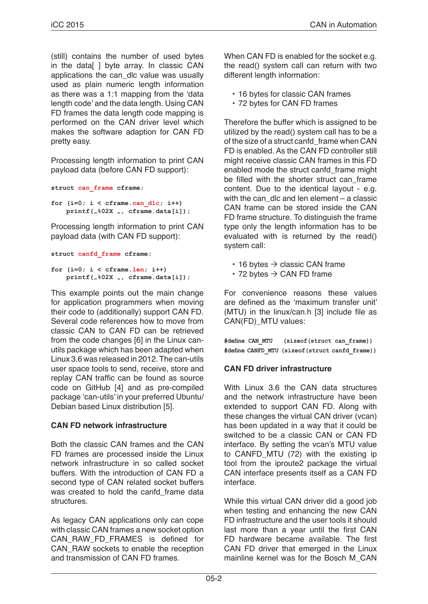(still) contains the number of used bytes in the data[ ] byte array. In classic CAN applications the can\_dlc value was usually used as plain numeric length information as there was a 1:1 mapping from the 'data length code' and the data length. Using CAN FD frames the data length code mapping is performed on the CAN driver level which makes the software adaption for CAN FD pretty easy.

Processing length information to print CAN payload data (before CAN FD support):

```
struct can_frame cframe;
```

```
for (i=0; i < cframe.can dlc; i++)printf(\sqrt{02X}, cframe.data[i]);
```
Processing length information to print CAN payload data (with CAN FD support):

```
struct canfd_frame cframe;
```

```
for (i=0; i < cframe.len; i++)
    printf(\sqrt{02X}, cframe.data[i]);
```
This example points out the main change for application programmers when moving their code to (additionally) support CAN FD. Several code references how to move from classic CAN to CAN FD can be retrieved from the code changes [6] in the Linux canutils package which has been adapted when Linux 3.6 was released in 2012. The can-utils user space tools to send, receive, store and replay CAN traffic can be found as source code on GitHub [4] and as pre-compiled package 'can-utils' in your preferred Ubuntu/ Debian based Linux distribution [5].

# **CAN FD network infrastructure**

Both the classic CAN frames and the CAN FD frames are processed inside the Linux network infrastructure in so called socket buffers. With the introduction of CAN FD a second type of CAN related socket buffers was created to hold the canfd frame data **structures** 

As legacy CAN applications only can cope with classic CAN frames a new socket option CAN\_RAW\_FD\_FRAMES\_ is defined for CAN\_RAW sockets to enable the reception and transmission of CAN FD frames.

When CAN FD is enabled for the socket e.g. the read() system call can return with two different length information:

- 16 bytes for classic CAN frames
- 72 bytes for CAN FD frames

Therefore the buffer which is assigned to be utilized by the read() system call has to be a of the size of a struct canfd\_frame when CAN FD is enabled. As the CAN FD controller still might receive classic CAN frames in this FD enabled mode the struct canfd\_frame might be filled with the shorter struct can frame content. Due to the identical layout - e.g. with the can  $\,$  dlc and len element – a classic CAN frame can be stored inside the CAN FD frame structure. To distinguish the frame type only the length information has to be evaluated with is returned by the read() system call:

- $\cdot$  16 bytes  $\rightarrow$  classic CAN frame
- 72 bytes  $\rightarrow$  CAN FD frame

For convenience reasons these values are defined as the 'maximum transfer unit' (MTU) in the linux/can.h [3] include file as CAN(FD)\_MTU values:

**#define CAN\_MTU (sizeof(struct can\_frame)) #define CANFD\_MTU (sizeof(struct canfd\_frame))**

# **CAN FD driver infrastructure**

With Linux 3.6 the CAN data structures and the network infrastructure have been extended to support CAN FD. Along with these changes the virtual CAN driver (vcan) has been updated in a way that it could be switched to be a classic CAN or CAN FD interface. By setting the vcan's MTU value to CANFD\_MTU (72) with the existing ip tool from the iproute2 package the virtual CAN interface presents itself as a CAN FD interface.

While this virtual CAN driver did a good job when testing and enhancing the new CAN FD infrastructure and the user tools it should last more than a year until the first CAN FD hardware became available. The first CAN FD driver that emerged in the Linux mainline kernel was for the Bosch M\_CAN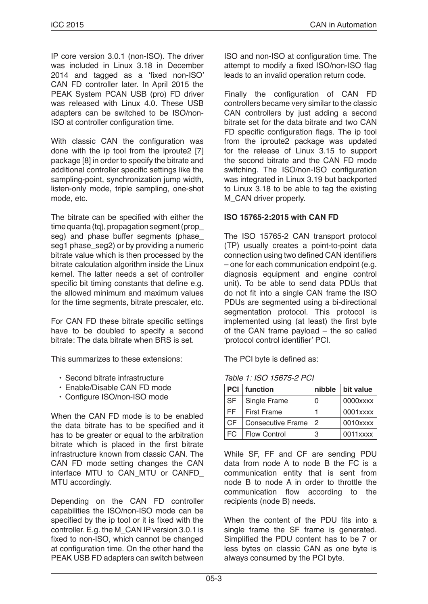IP core version 3.0.1 (non-ISO). The driver was included in Linux 3.18 in December 2014 and tagged as a 'fixed non-ISO' CAN FD controller later. In April 2015 the PEAK System PCAN USB (pro) FD driver was released with Linux 4.0. These USB adapters can be switched to be ISO/non-ISO at controller configuration time.

With classic CAN the configuration was done with the ip tool from the iproute2 [7] package [8] in order to specify the bitrate and additional controller specific settings like the sampling-point, synchronization jump width, listen-only mode, triple sampling, one-shot mode, etc.

The bitrate can be specified with either the time quanta (tq), propagation segment (prop\_ seg) and phase buffer segments (phase\_ seg1 phase\_seg2) or by providing a numeric bitrate value which is then processed by the bitrate calculation algorithm inside the Linux kernel. The latter needs a set of controller specific bit timing constants that define e.g. the allowed minimum and maximum values for the time segments, bitrate prescaler, etc.

For CAN FD these bitrate specific settings have to be doubled to specify a second bitrate: The data bitrate when BRS is set.

This summarizes to these extensions:

- Second bitrate infrastructure
- Enable/Disable CAN FD mode
- Configure ISO/non-ISO mode

When the CAN FD mode is to be enabled the data bitrate has to be specified and it has to be greater or equal to the arbitration bitrate which is placed in the first bitrate infrastructure known from classic CAN. The CAN FD mode setting changes the CAN interface MTU to CAN\_MTU or CANFD\_ MTU accordingly.

Depending on the CAN FD controller capabilities the ISO/non-ISO mode can be specified by the ip tool or it is fixed with the controller. E.g. the M\_CAN IP version 3.0.1 is fixed to non-ISO, which cannot be changed at configuration time. On the other hand the PEAK USB FD adapters can switch between ISO and non-ISO at configuration time. The attempt to modify a fixed ISO/non-ISO flag leads to an invalid operation return code.

Finally the configuration of CAN FD controllers became very similar to the classic CAN controllers by just adding a second bitrate set for the data bitrate and two CAN FD specific configuration flags. The ip tool from the iproute2 package was updated for the release of Linux 3.15 to support the second bitrate and the CAN FD mode switching. The ISO/non-ISO configuration was integrated in Linux 3.19 but backported to Linux 3.18 to be able to tag the existing M\_CAN driver properly.

## **ISO 15765-2:2015 with CAN FD**

The ISO 15765-2 CAN transport protocol (TP) usually creates a point-to-point data connection using two defined CAN identifiers – one for each communication endpoint (e.g. diagnosis equipment and engine control unit). To be able to send data PDUs that do not fit into a single CAN frame the ISO PDUs are segmented using a bi-directional segmentation protocol. This protocol is implemented using (at least) the first byte of the CAN frame payload – the so called 'protocol control identifier' PCI.

The PCI byte is defined as:

|      | <b>PCI</b> function      | nibble        | bit value |
|------|--------------------------|---------------|-----------|
| SF.  | Single Frame             | 0             | 0000xxxx  |
| FF - | First Frame              |               | 0001xxxx  |
| CF.  | <b>Consecutive Frame</b> | $\mathcal{P}$ | 0010xxxx  |
| FC.  | <b>Flow Control</b>      | 3             | 0011xxxx  |

While SF, FF and CF are sending PDU data from node A to node B the FC is a communication entity that is sent from node B to node A in order to throttle the communication flow according to the recipients (node B) needs.

When the content of the PDU fits into a single frame the SF frame is generated. Simplified the PDU content has to be 7 or less bytes on classic CAN as one byte is always consumed by the PCI byte.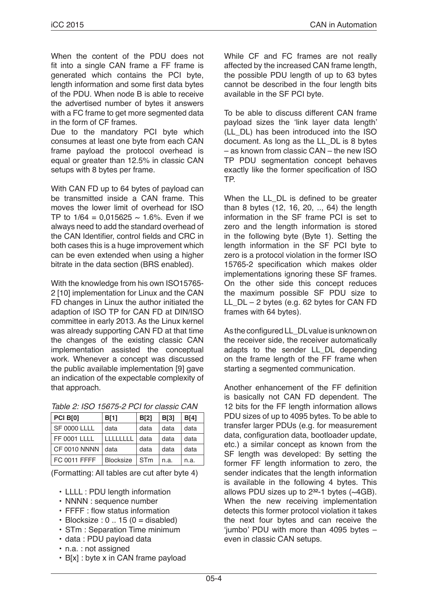When the content of the PDU does not fit into a single CAN frame a FF frame is generated which contains the PCI byte, length information and some first data bytes of the PDU. When node B is able to receive the advertised number of bytes it answers with a FC frame to get more segmented data in the form of CF frames.

Due to the mandatory PCI byte which consumes at least one byte from each CAN frame payload the protocol overhead is equal or greater than 12.5% in classic CAN setups with 8 bytes per frame.

With CAN FD up to 64 bytes of payload can be transmitted inside a CAN frame. This moves the lower limit of overhead for ISO TP to  $1/64 = 0.015625 \sim 1.6\%$ . Even if we always need to add the standard overhead of the CAN Identifier, control fields and CRC in both cases this is a huge improvement which can be even extended when using a higher bitrate in the data section (BRS enabled).

With the knowledge from his own ISO15765- 2 [10] implementation for Linux and the CAN FD changes in Linux the author initiated the adaption of ISO TP for CAN FD at DIN/ISO committee in early 2013. As the Linux kernel was already supporting CAN FD at that time the changes of the existing classic CAN implementation assisted the conceptual work. Whenever a concept was discussed the public available implementation [9] gave an indication of the expectable complexity of that approach.

| TADIE 2. ISO 19079-2 FUI IUI CIASSIC CAIN |           |             |             |             |  |  |
|-------------------------------------------|-----------|-------------|-------------|-------------|--|--|
| <b>PCI B[0]</b>                           | B[1]      | <b>B[2]</b> | <b>B[3]</b> | <b>B[4]</b> |  |  |
| SF 0000 LLLL                              | data      | data        | data        | data        |  |  |
| FF 0001 LLLL                              | LLLLLLLL  | data        | data        | data        |  |  |
| CF 0010 NNNN                              | data      | data        | data        | data        |  |  |
| FC 0011 FFFF                              | Blocksize | <b>STm</b>  | n.a.        | n.a.        |  |  |

*Table 2: ISO 15675-2 PCI for classic CAN*

(Formatting: All tables are cut after byte 4)

- LLLL : PDU length information
- NNNN : sequence number
- FFFF : flow status information
- $\cdot$  Blocksize : 0 .. 15 (0 = disabled)
- STm : Separation Time minimum
- data : PDU payload data
- n.a. : not assigned
- B[x] : byte x in CAN frame payload

While CF and FC frames are not really affected by the increased CAN frame length, the possible PDU length of up to 63 bytes cannot be described in the four length bits available in the SF PCI byte.

To be able to discuss different CAN frame payload sizes the 'link layer data length' (LL\_DL) has been introduced into the ISO document. As long as the LL\_DL is 8 bytes – as known from classic CAN – the new ISO TP PDU segmentation concept behaves exactly like the former specification of ISO TP.

When the LL\_DL is defined to be greater than 8 bytes (12, 16, 20, .., 64) the length information in the SF frame PCI is set to zero and the length information is stored in the following byte (Byte 1). Setting the length information in the SF PCI byte to zero is a protocol violation in the former ISO 15765-2 specification which makes older implementations ignoring these SF frames. On the other side this concept reduces the maximum possible SF PDU size to LL  $DL - 2$  bytes (e.g. 62 bytes for CAN FD frames with 64 bytes).

As the configured LL\_DL value is unknown on the receiver side, the receiver automatically adapts to the sender LL\_DL depending on the frame length of the FF frame when starting a segmented communication.

Another enhancement of the FF definition is basically not CAN FD dependent. The 12 bits for the FF length information allows PDU sizes of up to 4095 bytes. To be able to transfer larger PDUs (e.g. for measurement data, configuration data, bootloader update, etc.) a similar concept as known from the SF length was developed: By setting the former FF length information to zero, the sender indicates that the length information is available in the following 4 bytes. This allows PDU sizes up to  $2^{32}$ -1 bytes ( $\sim$ 4GB). When the new receiving implementation detects this former protocol violation it takes the next four bytes and can receive the 'jumbo' PDU with more than 4095 bytes – even in classic CAN setups.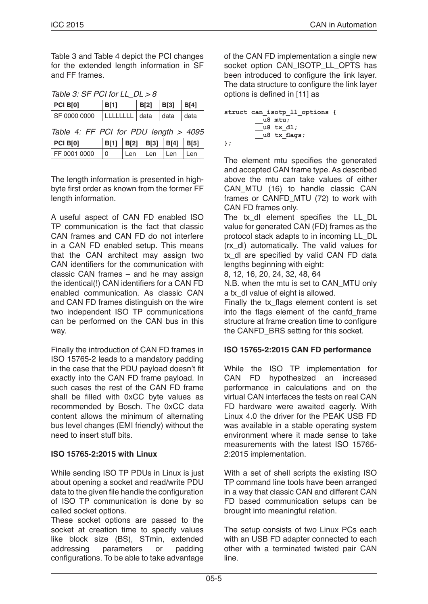Table 3 and Table 4 depict the PCI changes for the extended length information in SF and FF frames.

| Table 3: $SF$ PCI for LL_DL $> 8$ |  |
|-----------------------------------|--|
|-----------------------------------|--|

| <b>PCI B[0]</b>                       | B[1]     |      | <b>B[2]</b> | <b>B[3]</b> | B[4]        |  |
|---------------------------------------|----------|------|-------------|-------------|-------------|--|
| SF 0000 0000                          |          | 1111 | data        | data        | data        |  |
| Table 4: FF PCI for PDU length > 4095 |          |      |             |             |             |  |
| <b>PCI B[0]</b>                       | B[1]     | B[2] | B[3]        | <b>B[4]</b> | <b>B[5]</b> |  |
| FF 0001 0000                          | $\Omega$ | Len  | l en        | Len         | Len         |  |

The length information is presented in highbyte first order as known from the former FF length information.

A useful aspect of CAN FD enabled ISO TP communication is the fact that classic CAN frames and CAN FD do not interfere in a CAN FD enabled setup. This means that the CAN architect may assign two CAN identifiers for the communication with classic CAN frames – and he may assign the identical(!) CAN identifiers for a CAN FD enabled communication. As classic CAN and CAN FD frames distinguish on the wire two independent ISO TP communications can be performed on the CAN bus in this way.

Finally the introduction of CAN FD frames in ISO 15765-2 leads to a mandatory padding in the case that the PDU payload doesn't fit exactly into the CAN FD frame payload. In such cases the rest of the CAN FD frame shall be filled with 0xCC byte values as recommended by Bosch. The 0xCC data content allows the minimum of alternating bus level changes (EMI friendly) without the need to insert stuff bits.

## **ISO 15765-2:2015 with Linux**

While sending ISO TP PDUs in Linux is just about opening a socket and read/write PDU data to the given file handle the configuration of ISO TP communication is done by so called socket options.

These socket options are passed to the socket at creation time to specify values like block size (BS), STmin, extended addressing parameters or padding configurations. To be able to take advantage of the CAN FD implementation a single new socket option CAN\_ISOTP\_LL\_OPTS has been introduced to configure the link layer. The data structure to configure the link layer options is defined in [11] as

```
struct can_isotp_ll_options {
         __u8 mtu;
         __u8 tx_dl;
         __u8 tx_flags;
};
```
The element mtu specifies the generated and accepted CAN frame type. As described above the mtu can take values of either CAN MTU (16) to handle classic CAN frames or CANFD\_MTU (72) to work with CAN FD frames only.

The tx dl element specifies the LL DL value for generated CAN (FD) frames as the protocol stack adapts to in incoming LL\_DL (rx\_dl) automatically. The valid values for tx dl are specified by valid CAN FD data lengths beginning with eight:

8, 12, 16, 20, 24, 32, 48, 64

N.B. when the mtu is set to CAN\_MTU only a tx\_dl value of eight is allowed.

Finally the tx flags element content is set into the flags element of the canfd\_frame structure at frame creation time to configure the CANFD\_BRS setting for this socket.

# **ISO 15765-2:2015 CAN FD performance**

While the ISO TP implementation for CAN FD hypothesized an increased performance in calculations and on the virtual CAN interfaces the tests on real CAN FD hardware were awaited eagerly. With Linux 4.0 the driver for the PEAK USB FD was available in a stable operating system environment where it made sense to take measurements with the latest ISO 15765- 2:2015 implementation.

With a set of shell scripts the existing ISO TP command line tools have been arranged in a way that classic CAN and different CAN FD based communication setups can be brought into meaningful relation.

The setup consists of two Linux PCs each with an USB FD adapter connected to each other with a terminated twisted pair CAN line.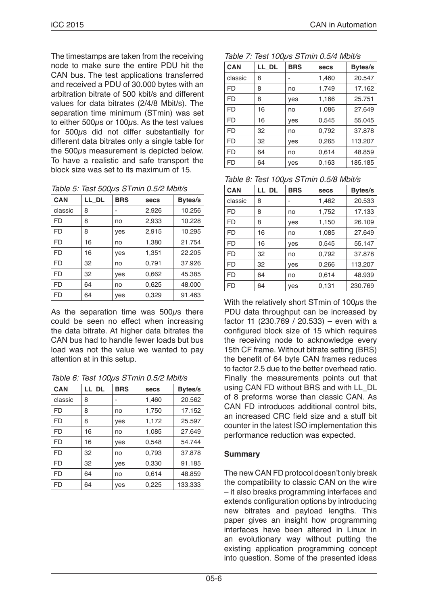The timestamps are taken from the receiving node to make sure the entire PDU hit the CAN bus. The test applications transferred and received a PDU of 30.000 bytes with an arbitration bitrate of 500 kbit/s and different values for data bitrates (2/4/8 Mbit/s). The separation time minimum (STmin) was set to either 500µs or 100µs. As the test values for 500µs did not differ substantially for different data bitrates only a single table for the 500µs measurement is depicted below. To have a realistic and safe transport the block size was set to its maximum of 15.

*Table 5: Test 500µs STmin 0.5/2 Mbit/s*

| <b>CAN</b> | LL DL | <b>BRS</b> | <b>secs</b> | Bytes/s |
|------------|-------|------------|-------------|---------|
| classic    | 8     |            | 2,926       | 10.256  |
| FD         | 8     | no         | 2,933       | 10.228  |
| <b>FD</b>  | 8     | ves        | 2,915       | 10.295  |
| FD         | 16    | no         | 1,380       | 21.754  |
| FD         | 16    | ves        | 1,351       | 22.205  |
| FD         | 32    | no         | 0,791       | 37.926  |
| <b>FD</b>  | 32    | yes        | 0,662       | 45.385  |
| FD         | 64    | no         | 0,625       | 48.000  |
| FD         | 64    | ves        | 0,329       | 91.463  |

As the separation time was 500 $\mu$ s there could be seen no effect when increasing the data bitrate. At higher data bitrates the CAN bus had to handle fewer loads but bus load was not the value we wanted to pay attention at in this setup.

| <b>CAN</b> | LL DL | <b>BRS</b> | <b>secs</b> | Bytes/s |
|------------|-------|------------|-------------|---------|
| classic    | 8     |            | 1,460       | 20.562  |
| FD         | 8     | no         | 1,750       | 17.152  |
| FD         | 8     | ves        | 1,172       | 25.597  |
| <b>FD</b>  | 16    | no         | 1,085       | 27.649  |
| FD         | 16    | ves        | 0,548       | 54.744  |
| <b>FD</b>  | 32    | no         | 0,793       | 37.878  |
| FD         | 32    | ves        | 0,330       | 91.185  |
| <b>FD</b>  | 64    | no         | 0,614       | 48.859  |
| FD         | 64    | ves        | 0,225       | 133.333 |

|  | Table 7: Test 100µs STmin 0.5/4 Mbit/s |  |
|--|----------------------------------------|--|
|--|----------------------------------------|--|

| <b>CAN</b> | LL DL | <b>BRS</b> | <b>secs</b> | Bytes/s |
|------------|-------|------------|-------------|---------|
| classic    | 8     |            | 1,460       | 20.547  |
| FD         | 8     | no         | 1,749       | 17.162  |
| FD         | 8     | ves        | 1,166       | 25.751  |
| <b>FD</b>  | 16    | no         | 1,086       | 27.649  |
| <b>FD</b>  | 16    | ves        | 0,545       | 55.045  |
| <b>FD</b>  | 32    | no         | 0,792       | 37.878  |
| <b>FD</b>  | 32    | yes        | 0,265       | 113.207 |
| <b>FD</b>  | 64    | no         | 0,614       | 48.859  |
| FD         | 64    | ves        | 0,163       | 185.185 |

| <b>CAN</b> | LL DL | <b>BRS</b> | <b>secs</b> | Bytes/s |
|------------|-------|------------|-------------|---------|
| classic    | 8     |            | 1,462       | 20.533  |
| <b>FD</b>  | 8     | no         | 1,752       | 17.133  |
| FD         | 8     | yes        | 1,150       | 26.109  |
| FD         | 16    | no         | 1,085       | 27.649  |
| FD         | 16    | yes        | 0,545       | 55.147  |
| <b>FD</b>  | 32    | no         | 0,792       | 37.878  |
| FD         | 32    | yes        | 0,266       | 113.207 |
| <b>FD</b>  | 64    | no         | 0,614       | 48.939  |
| FD         | 64    | yes        | 0.131       | 230.769 |

With the relatively short STmin of 100 $\mu$ s the PDU data throughput can be increased by factor 11 (230.769 / 20.533) – even with a configured block size of 15 which requires the receiving node to acknowledge every 15th CF frame. Without bitrate setting (BRS) the benefit of 64 byte CAN frames reduces to factor 2.5 due to the better overhead ratio. Finally the measurements points out that using CAN FD without BRS and with LL\_DL of 8 preforms worse than classic CAN. As CAN FD introduces additional control bits, an increased CRC field size and a stuff bit counter in the latest ISO implementation this performance reduction was expected.

## **Summary**

The new CAN FD protocol doesn't only break the compatibility to classic CAN on the wire – it also breaks programming interfaces and extends configuration options by introducing new bitrates and payload lengths. This paper gives an insight how programming interfaces have been altered in Linux in an evolutionary way without putting the existing application programming concept into question. Some of the presented ideas